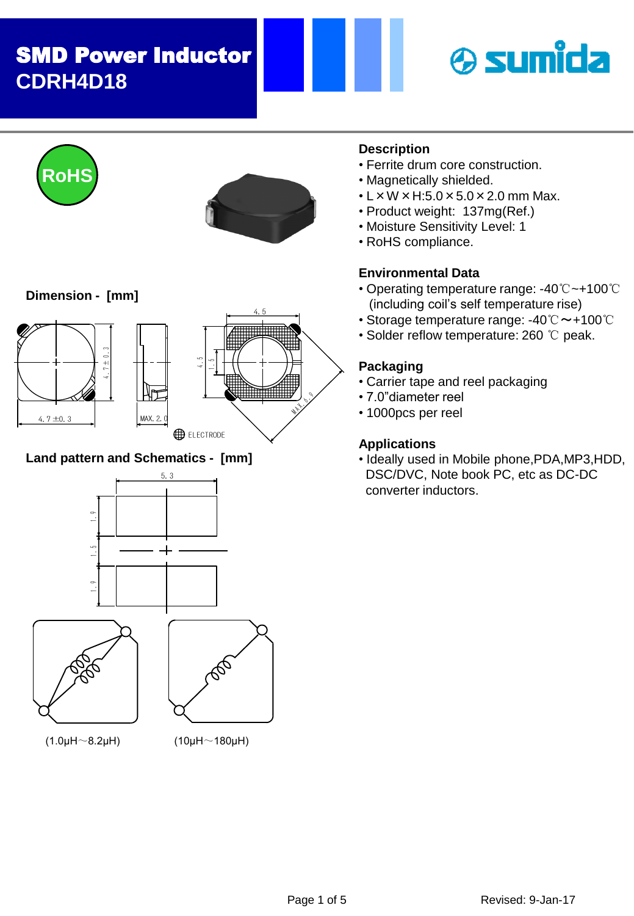



## **Land pattern and Schematics - [mm]**







(1.0μH $\sim$ 8.2μH) (10μH $\sim$ 180μH)

## **Description**

- Ferrite drum core construction.
- Magnetically shielded.
- $\cdot$  L  $\times$  W  $\times$  H:5.0  $\times$  5.0  $\times$  2.0 mm Max.
- Product weight: 137mg(Ref.)
- Moisture Sensitivity Level: 1
- RoHS compliance.

## **Environmental Data**

- Operating temperature range: -40℃~+100℃ (including coil's self temperature rise)
- Storage temperature range: -40℃~+100℃
- Solder reflow temperature: 260 ℃ peak.

### **Packaging**

- Carrier tape and reel packaging
- 7.0"diameter reel
- 1000pcs per reel

## **Applications**

• Ideally used in Mobile phone,PDA,MP3,HDD, DSC/DVC, Note book PC, etc as DC-DC converter inductors.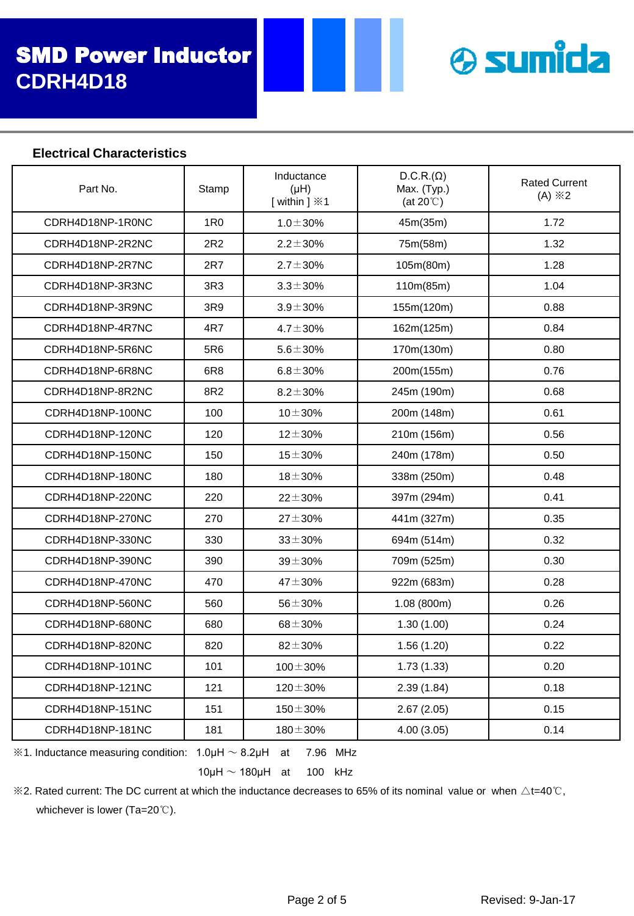

#### **Electrical Characteristics**

| Part No.         | Stamp           | Inductance<br>(HH)<br>[within ] $\divideontimes$ 1 | $D.C.R.(\Omega)$<br>Max. (Typ.)<br>(at $20^{\circ}$ C) | <b>Rated Current</b><br>$(A) \times 2$ |
|------------------|-----------------|----------------------------------------------------|--------------------------------------------------------|----------------------------------------|
| CDRH4D18NP-1R0NC | 1 <sub>R0</sub> | $1.0 \pm 30\%$                                     | 45m(35m)                                               | 1.72                                   |
| CDRH4D18NP-2R2NC | 2R <sub>2</sub> | $2.2 \pm 30\%$                                     | 75m(58m)                                               | 1.32                                   |
| CDRH4D18NP-2R7NC | 2R7             | $2.7 \pm 30\%$                                     | 105m(80m)                                              | 1.28                                   |
| CDRH4D18NP-3R3NC | 3R3             | $3.3 \pm 30\%$                                     | 110m(85m)                                              | 1.04                                   |
| CDRH4D18NP-3R9NC | 3R9             | $3.9 \pm 30\%$                                     | 155m(120m)                                             | 0.88                                   |
| CDRH4D18NP-4R7NC | 4R7             | $4.7 \pm 30\%$                                     | 162m(125m)                                             | 0.84                                   |
| CDRH4D18NP-5R6NC | 5R6             | $5.6 \pm 30\%$                                     | 170m(130m)                                             | 0.80                                   |
| CDRH4D18NP-6R8NC | 6R <sub>8</sub> | $6.8 \pm 30\%$                                     | 200m(155m)                                             | 0.76                                   |
| CDRH4D18NP-8R2NC | 8R2             | $8.2 \pm 30\%$                                     | 245m (190m)                                            | 0.68                                   |
| CDRH4D18NP-100NC | 100             | $10 + 30%$                                         | 200m (148m)                                            | 0.61                                   |
| CDRH4D18NP-120NC | 120             | $12 + 30%$                                         | 210m (156m)                                            | 0.56                                   |
| CDRH4D18NP-150NC | 150             | $15 + 30%$                                         | 240m (178m)                                            | 0.50                                   |
| CDRH4D18NP-180NC | 180             | $18 + 30%$                                         | 338m (250m)                                            | 0.48                                   |
| CDRH4D18NP-220NC | 220             | $22 \pm 30\%$                                      | 397m (294m)                                            | 0.41                                   |
| CDRH4D18NP-270NC | 270             | $27 + 30%$                                         | 441m (327m)                                            | 0.35                                   |
| CDRH4D18NP-330NC | 330             | $33 + 30%$                                         | 694m (514m)                                            | 0.32                                   |
| CDRH4D18NP-390NC | 390             | $39 + 30%$                                         | 709m (525m)                                            | 0.30                                   |
| CDRH4D18NP-470NC | 470             | $47 + 30%$                                         | 922m (683m)                                            | 0.28                                   |
| CDRH4D18NP-560NC | 560             | $56 + 30%$                                         | 1.08(800m)                                             | 0.26                                   |
| CDRH4D18NP-680NC | 680             | $68 + 30%$                                         | 1.30(1.00)                                             | 0.24                                   |
| CDRH4D18NP-820NC | 820             | $82 + 30%$                                         | 1.56(1.20)                                             | 0.22                                   |
| CDRH4D18NP-101NC | 101             | $100 \pm 30\%$                                     | 1.73(1.33)                                             | 0.20                                   |
| CDRH4D18NP-121NC | 121             | $120 \pm 30\%$                                     | 2.39(1.84)                                             | 0.18                                   |
| CDRH4D18NP-151NC | 151             | $150 + 30%$                                        | 2.67(2.05)                                             | 0.15                                   |
| CDRH4D18NP-181NC | 181             | $180 + 30%$                                        | 4.00(3.05)                                             | 0.14                                   |

 $\div$  1. Inductance measuring condition: 1.0μH  $\sim$  8.2μH at 7.96 MHz

 $10\mu$ H  $\sim$  180 $\mu$ H at 100 kHz

 $\%$ 2. Rated current: The DC current at which the inductance decreases to 65% of its nominal value or when ∆t=40℃, whichever is lower (Ta=20℃).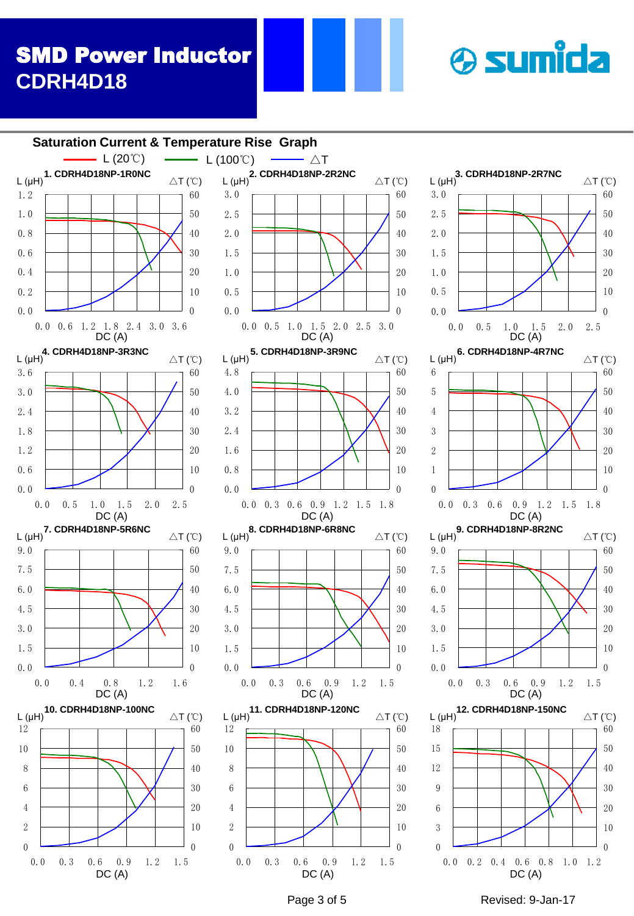



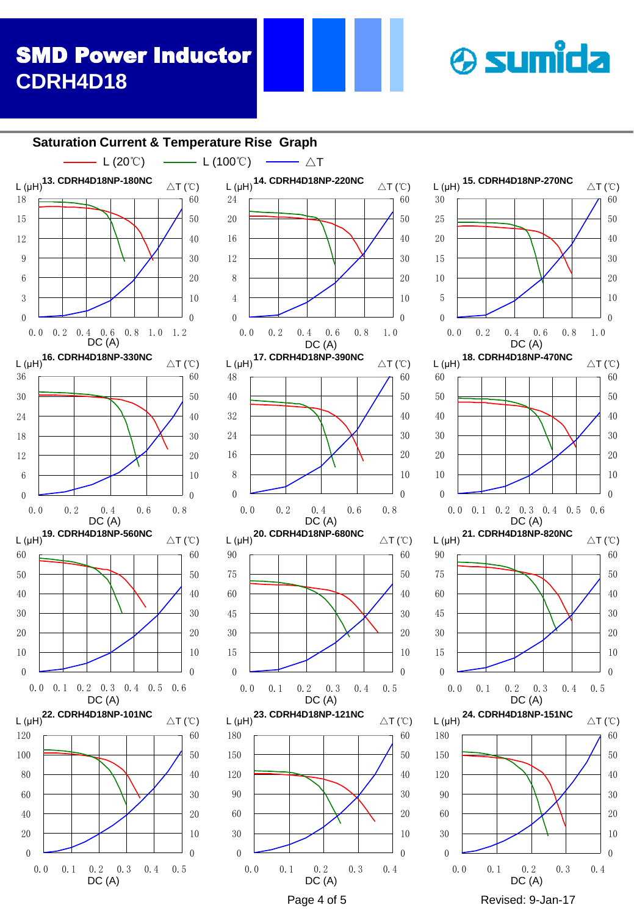



0.0 0.2 0.4 0.6 0.8 1.0 1.2<br>DC (A)

**L** (μH)<sup>13.</sup> CDRH4D18NP-180NC  $\Delta T$  (℃)



 

DC (A)

0.0 0.1 0.2 0.3 0.4

**& sumida** 

 

 $\theta$